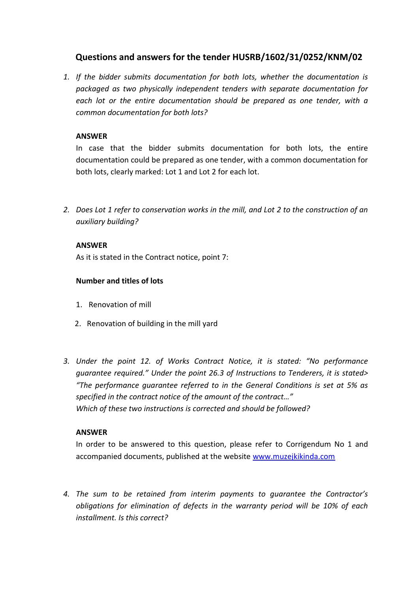# **Questions and answers for the tender HUSRB/1602/31/0252/KNM/02**

*1. If the bidder submits documentation for both lots, whether the documentation is packaged as two physically independent tenders with separate documentation for each lot or the entire documentation should be prepared as one tender, with a common documentation for both lots?*

## **ANSWER**

In case that the bidder submits documentation for both lots, the entire documentation could be prepared as one tender, with a common documentation for both lots, clearly marked: Lot 1 and Lot 2 for each lot.

*2. Does Lot 1 refer to conservation works in the mill, and Lot 2 to the construction of an auxiliary building?*

## **ANSWER**

As it is stated in the Contract notice, point 7:

## **Number and titles of lots**

- 1. Renovation of mill
- 2. Renovation of building in the mill yard
- *3. Under the point 12. of Works Contract Notice, it is stated: "No performance guarantee required." Under the point 26.3 of Instructions to Tenderers, it is stated> "The performance guarantee referred to in the General Conditions is set at 5% as specified in the contract notice of the amount of the contract…" Which of these two instructions is corrected and should be followed?*

#### **ANSWER**

In order to be answered to this question, please refer to Corrigendum No 1 and accompanied documents, published at the website [www.muzejkikinda.com](http://www.muzejkikinda.com/)

*4. The sum to be retained from interim payments to guarantee the Contractor's obligations for elimination of defects in the warranty period will be 10% of each installment. Is this correct?*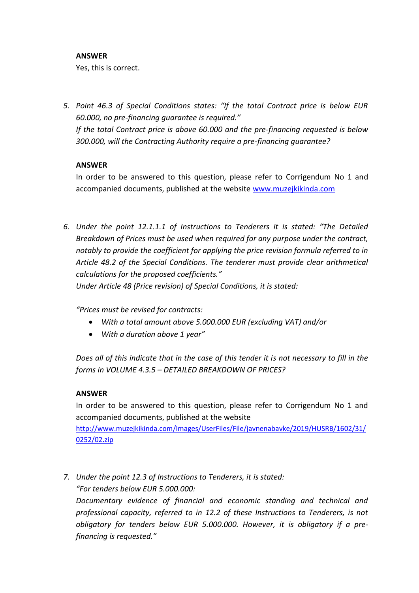## **ANSWER**

Yes, this is correct.

*5. Point 46.3 of Special Conditions states: "If the total Contract price is below EUR 60.000, no pre-financing guarantee is required." If the total Contract price is above 60.000 and the pre-financing requested is below 300.000, will the Contracting Authority require a pre-financing guarantee?*

# **ANSWER**

In order to be answered to this question, please refer to Corrigendum No 1 and accompanied documents, published at the website [www.muzejkikinda.com](http://www.muzejkikinda.com/)

*6. Under the point 12.1.1.1 of Instructions to Tenderers it is stated: "The Detailed Breakdown of Prices must be used when required for any purpose under the contract, notably to provide the coefficient for applying the price revision formula referred to in Article 48.2 of the Special Conditions. The tenderer must provide clear arithmetical calculations for the proposed coefficients."*

*Under Article 48 (Price revision) of Special Conditions, it is stated:*

*"Prices must be revised for contracts:*

- *With a total amount above 5.000.000 EUR (excluding VAT) and/or*
- *With a duration above 1 year"*

*Does all of this indicate that in the case of this tender it is not necessary to fill in the forms in VOLUME 4.3.5 – DETAILED BREAKDOWN OF PRICES?*

# **ANSWER**

In order to be answered to this question, please refer to Corrigendum No 1 and accompanied documents, published at the website

[http://www.muzejkikinda.com/Images/UserFiles/File/javnenabavke/2019/HUSRB/1602/31/](http://www.muzejkikinda.com/Images/UserFiles/File/javnenabavke/2019/HUSRB/1602/31/0252/02.zip) [0252/02.zip](http://www.muzejkikinda.com/Images/UserFiles/File/javnenabavke/2019/HUSRB/1602/31/0252/02.zip)

*7. Under the point 12.3 of Instructions to Tenderers, it is stated: "For tenders below EUR 5.000.000:*

*Documentary evidence of financial and economic standing and technical and professional capacity, referred to in 12.2 of these Instructions to Tenderers, is not obligatory for tenders below EUR 5.000.000. However, it is obligatory if a prefinancing is requested."*